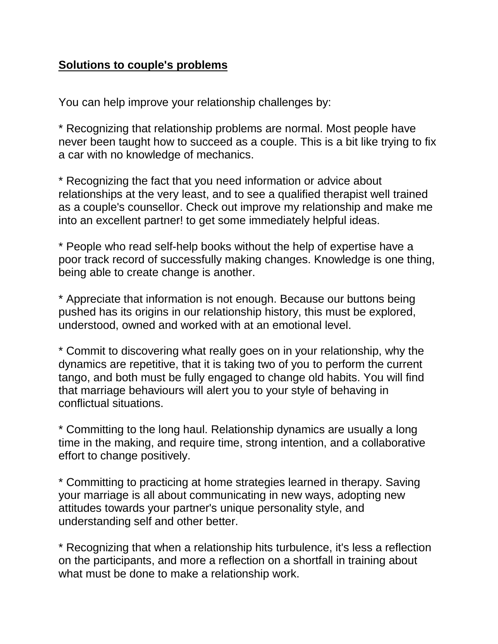## **Solutions to couple's problems**

You can help improve your relationship challenges by:

\* Recognizing that relationship problems are normal. Most people have never been taught how to succeed as a couple. This is a bit like trying to fix a car with no knowledge of mechanics.

\* Recognizing the fact that you need information or advice about relationships at the very least, and to see a qualified therapist well trained as a couple's counsellor. Check out improve my relationship and make me into an excellent partner! to get some immediately helpful ideas.

\* People who read self-help books without the help of expertise have a poor track record of successfully making changes. Knowledge is one thing, being able to create change is another.

\* Appreciate that information is not enough. Because our buttons being pushed has its origins in our relationship history, this must be explored, understood, owned and worked with at an emotional level.

\* Commit to discovering what really goes on in your relationship, why the dynamics are repetitive, that it is taking two of you to perform the current tango, and both must be fully engaged to change old habits. You will find that marriage behaviours will alert you to your style of behaving in conflictual situations.

\* Committing to the long haul. Relationship dynamics are usually a long time in the making, and require time, strong intention, and a collaborative effort to change positively.

\* Committing to practicing at home strategies learned in therapy. Saving your marriage is all about communicating in new ways, adopting new attitudes towards your partner's unique personality style, and understanding self and other better.

\* Recognizing that when a relationship hits turbulence, it's less a reflection on the participants, and more a reflection on a shortfall in training about what must be done to make a relationship work.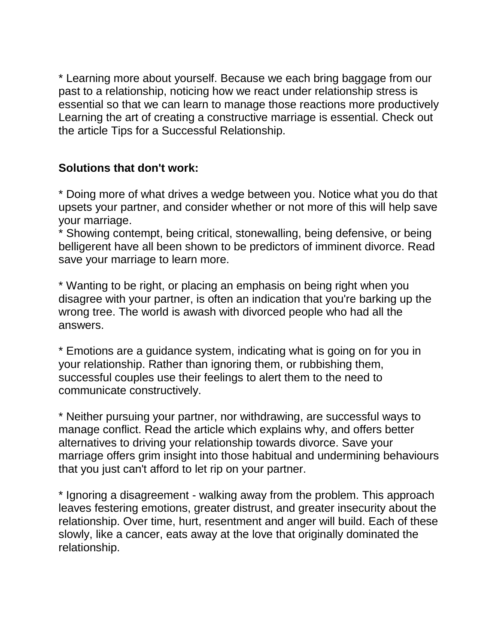\* Learning more about yourself. Because we each bring baggage from our past to a relationship, noticing how we react under relationship stress is essential so that we can learn to manage those reactions more productively Learning the art of creating a constructive marriage is essential. Check out the article Tips for a Successful Relationship.

## **Solutions that don't work:**

\* Doing more of what drives a wedge between you. Notice what you do that upsets your partner, and consider whether or not more of this will help save your marriage.

\* Showing contempt, being critical, stonewalling, being defensive, or being belligerent have all been shown to be predictors of imminent divorce. Read save your marriage to learn more.

\* Wanting to be right, or placing an emphasis on being right when you disagree with your partner, is often an indication that you're barking up the wrong tree. The world is awash with divorced people who had all the answers.

\* Emotions are a guidance system, indicating what is going on for you in your relationship. Rather than ignoring them, or rubbishing them, successful couples use their feelings to alert them to the need to communicate constructively.

\* Neither pursuing your partner, nor withdrawing, are successful ways to manage conflict. Read the article which explains why, and offers better alternatives to driving your relationship towards divorce. Save your marriage offers grim insight into those habitual and undermining behaviours that you just can't afford to let rip on your partner.

\* Ignoring a disagreement - walking away from the problem. This approach leaves festering emotions, greater distrust, and greater insecurity about the relationship. Over time, hurt, resentment and anger will build. Each of these slowly, like a cancer, eats away at the love that originally dominated the relationship.